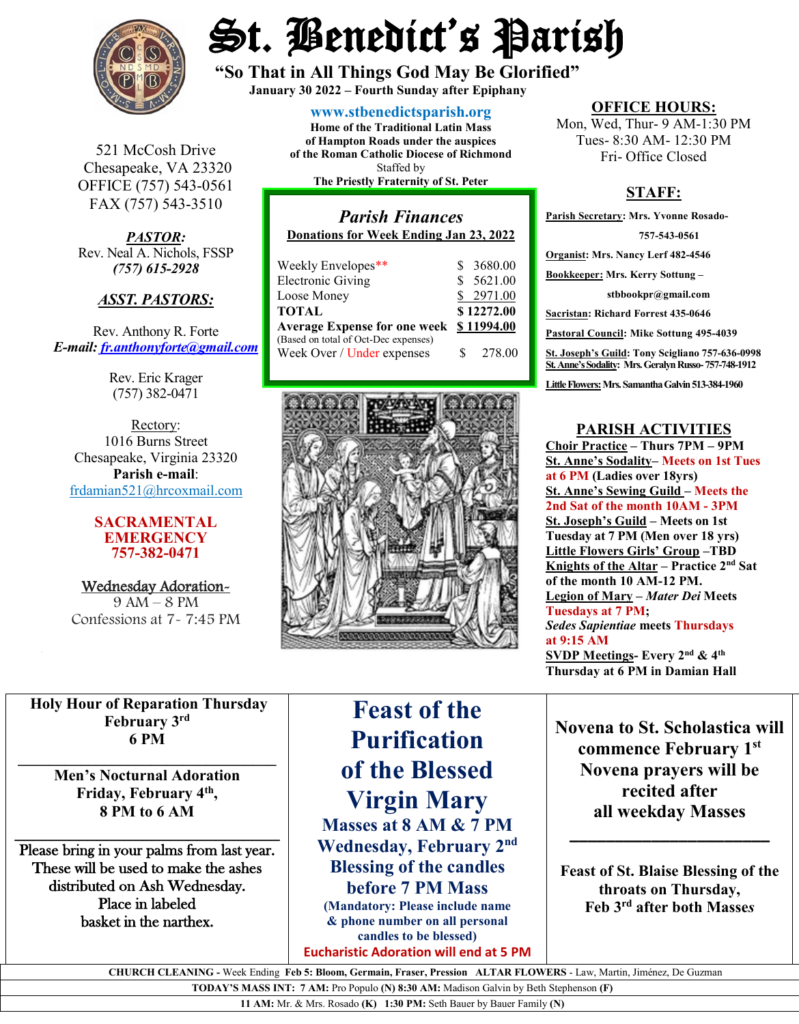

St. Benedict's Parish

**"So That in All Things God May Be Glorified" January 30 <sup>2022</sup> – Fourth Sunday after Epiphany**

**[www.stbenedictsparish.org](http://www.stbenedictsparish.org/)**

521 McCosh Drive Chesapeake, VA 23320 OFFICE (757) 543-0561 FAX (757) 543-3510

*PASTOR:* Rev. Neal A. Nichols, FSSP *(757) 615-2928* 

#### *ASST. PASTORS:*

Rev. Anthony R. Forte *E-mail: [fr.anthonyforte@gmail.com](mailto:fr.anthonyforte@gmail.com)*

> Rev. Eric Krager (757) 382-0471

Rectory: 1016 Burns Street Chesapeake, Virginia 23320 **Parish e-mail**: [frdamian521@hrcoxmail.com](mailto:frdamian521@hrcoxmail.com)

#### **SACRAMENTAL EMERGENCY 757-382-0471**

Wednesday Adoration-9 AM – 8 PM Confessions at 7- 7:45 PM

**Home of the Traditional Latin Mass of Hampton Roads under the auspices of the Roman Catholic Diocese of Richmond** Staffed by

**The Priestly Fraternity of St. Peter**

# *Parish Finances* **Donations for Week Ending Jan 23, 2022** Weekly Envelopes\*\* \$ 3680.00<br>Electronic Giving \$ 5621.00

| Electronic Giving                    |    | \$ 5621.00 |
|--------------------------------------|----|------------|
| Loose Money                          |    | \$2971.00  |
| TOTAL                                |    | \$12272.00 |
| <b>Average Expense for one week</b>  |    | \$11994.00 |
| (Based on total of Oct-Dec expenses) |    |            |
| Week Over / Under expenses           | S. | 278.00     |



**OFFICE HOURS:**

Mon, Wed, Thur- 9 AM-1:30 PM Tues- 8:30 AM- 12:30 PM Fri- Office Closed

## **STAFF:**

**Parish Secretary: Mrs. Yvonne Rosado- 757-543-0561 Organist: Mrs. Nancy Lerf 482-4546 Bookkeeper: Mrs. Kerry Sottung – stbbookpr@gmail.com Sacristan: Richard Forrest 435-0646 Pastoral Council: Mike Sottung 495-4039 St. Joseph's Guild: Tony Scigliano 757-636-0998 St. Anne's Sodality: Mrs. Geralyn Russo-757-748-1912** Little Flowers: Mrs. Samantha Galvin 513-384-1960

#### **PARISH ACTIVITIES**

**Choir Practice – Thurs 7PM – 9PM St. Anne's Sodality– Meets on 1st Tues at 6 PM (Ladies over 18yrs) St. Anne's Sewing Guild – Meets the 2nd Sat of the month 10AM - 3PM St. Joseph's Guild – Meets on 1st Tuesday at 7 PM (Men over 18 yrs) Little Flowers Girls' Group –TBD Knights of the Altar – Practice 2nd Sat of the month 10 AM-12 PM. Legion of Mary –** *Mater Dei* **Meets Tuesdays at 7 PM;**  *Sedes Sapientiae* **meets Thursdays at 9:15 AM SVDP Meetings- Every 2nd & 4th Thursday at 6 PM in Damian Hall**

**Holy Hour of Reparation Thursday February 3rd 6 PM**

**\_\_\_\_\_\_\_\_\_\_\_\_\_\_\_\_\_\_\_\_\_\_\_\_\_\_\_\_\_\_\_\_\_ Men's Nocturnal Adoration Friday, February 4th, 8 PM to 6 AM**

**\_\_\_\_\_\_\_\_\_\_\_\_\_\_\_\_\_\_\_\_\_\_\_\_\_\_\_\_\_** Please bring in your palms from last year. These will be used to make the ashes distributed on Ash Wednesday. Place in labeled basket in the narthex.

# **Feast of the Purification of the Blessed Virgin Mary Masses at 8 AM & 7 PM Wednesday, February 2nd Blessing of the candles**

**before 7 PM Mass (Mandatory: Please include name & phone number on all personal candles to be blessed)**

**Eucharistic Adoration will end at 5 PM**

**Novena to St. Scholastica will commence February 1st Novena prayers will be recited after all weekday Masses**

**Feast of St. Blaise Blessing of the throats on Thursday, Feb 3rd after both Masse***s*

**\_\_\_\_\_\_\_\_\_\_\_\_\_\_\_\_\_\_\_\_\_\_**

 **CHURCH CLEANING -** Week Ending **Feb 5: Bloom, Germain, Fraser, Pression ALTAR FLOWERS** - Law, Martin, Jiménez, De Guzman

**TODAY'S MASS INT: 7 AM:** Pro Populo **(N) 8:30 AM:** Madison Galvin by Beth Stephenson **(F)** 

**11 AM:** Mr. & Mrs. Rosado **(K) 1:30 PM:** Seth Bauer by Bauer Family **(N)**